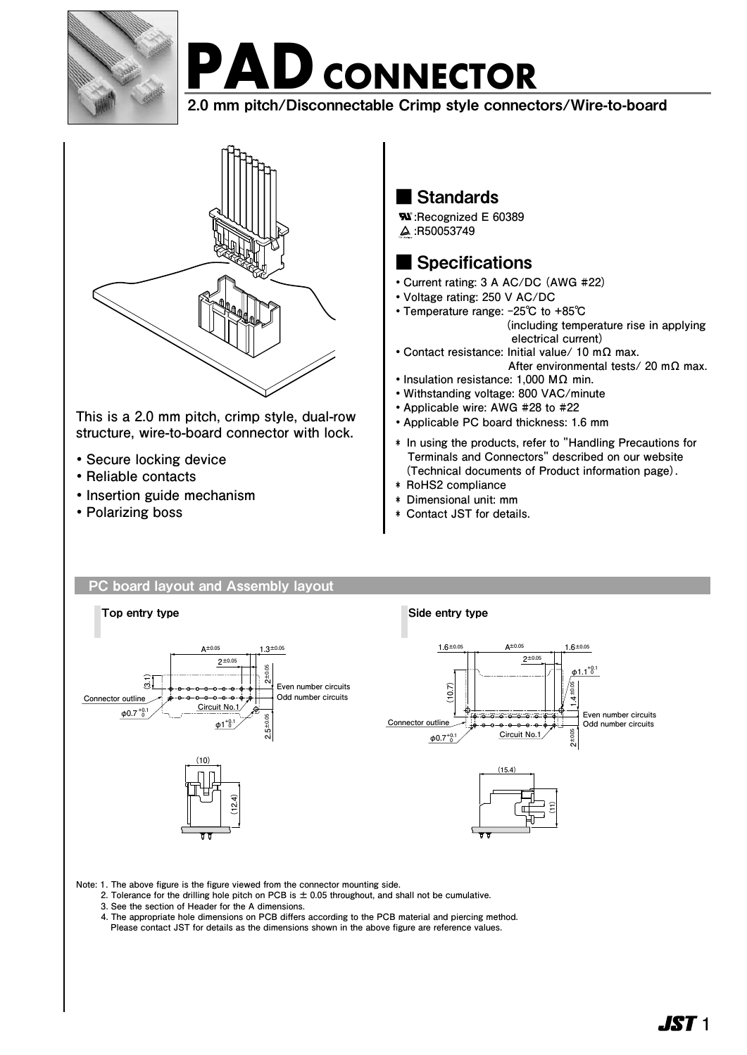

# **PAD** CONNECTOR

2.0 mm pitch/Disconnectable Crimp style connectors/Wire-to-board



This is a 2.0 mm pitch, crimp style, dual-row **structure, wire-to-board connector with lock.** 

- **・Secure locking device**
- **・Reliable contacts**
- **・Insertion guide mechanism**
- **・Polarizing boss**

## ■ Standards

**R**<sup>2</sup>: Recognized E 60389  **:R50053749**

## ■ Specifications

- **・Current rating: 3 A AC/DC (AWG #22)**
- **・Voltage rating: 250 V AC/DC**
- **・Temperature range: -25℃ to +85℃ (including temperature rise in applying electrical current)**
- **・Contact resistance: Initial value/ 10 mΩ max. After environmental tests/ 20 mΩ max.**
- **・Insulation resistance: 1,000 MΩ min.**
- **・Withstanding voltage: 800 VAC/minute**
- **・Applicable wire: AWG #28 to #22**
- **・Applicable PC board thickness: 1.6 mm**
- **\* In using the products, refer to "Handling Precautions for Terminals and Connectors" described on our website (Technical documents of Product information page).**
- **\* RoHS2 compliance**
- **\* Dimensional unit: mm**
- **\* Contact JST for details.**

## PC board layout and Assembly layout



**Note: 1. The above figure is the figure viewed from the connector mounting side.**

- **2. Tolerance for the drilling hole pitch on PCB is ± 0.05 throughout, and shall not be cumulative.**
- **3. See the section of Header for the A dimensions.**
- **4. The appropriate hole dimensions on PCB differs according to the PCB material and piercing method.**
- **Please contact JST for details as the dimensions shown in the above figure are reference values.**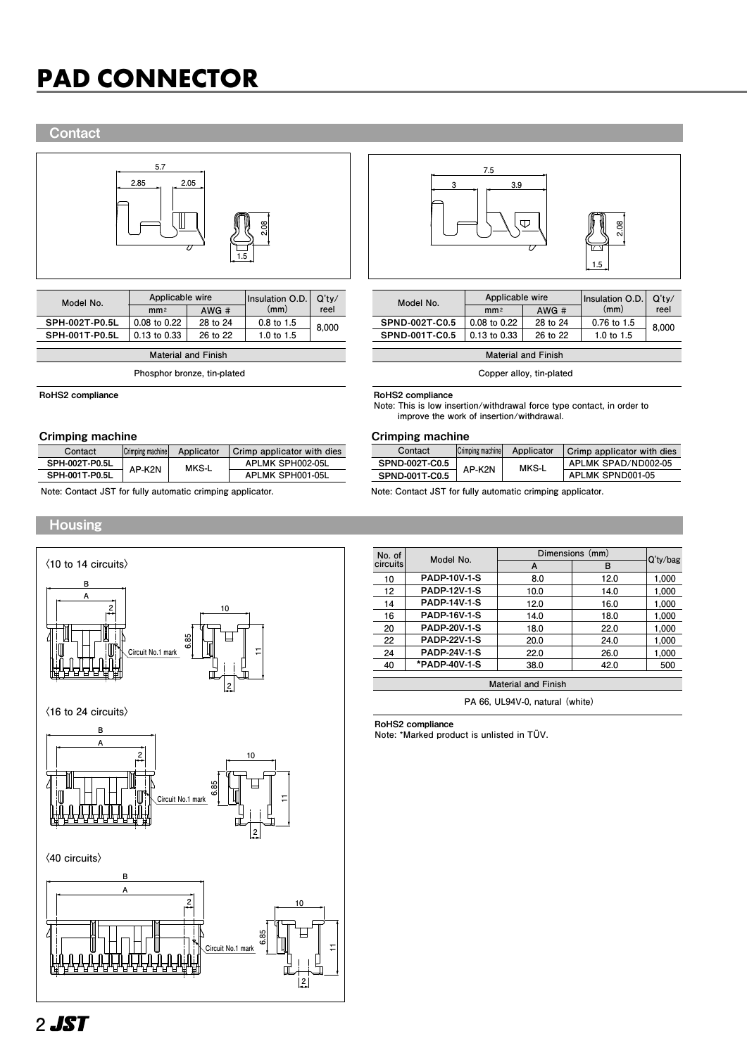## **PAD CONNECTOR PAD CONNECTOR**

## **Contact**



**Phosphor bronze, tin-plated**

RoHS2 compliance

### Crimping machine Crimping machine

| Contact        | Crimping machine | Applicator | Crimp applicator with dies |  |  |
|----------------|------------------|------------|----------------------------|--|--|
| SPH-002T-P0.5L | AP-K2N           | MKS-L      | APLMK SPH002-05L           |  |  |
| SPH-001T-P0.5L |                  |            | APLMK SPH001-05L           |  |  |

**Note: Contact JST for fully automatic crimping applicator. Note: Contact JST for fully automatic crimping applicator.**

## Housing





| Model No.      | Applicable wire  |          | Insulation O.D. | Q'tv/<br>reel |  |
|----------------|------------------|----------|-----------------|---------------|--|
|                | mm <sub>2</sub>  | AWG#     | (mm)            |               |  |
| SPND-002T-C0.5 | 0.08 to 0.22     | 28 to 24 | $0.76$ to 1.5   | 8.000         |  |
| SPND-001T-C0.5 | $0.13$ to $0.33$ | 26 to 22 | 1.0 to $1.5$    |               |  |

**Material and Finish**

**Copper alloy, tin-plated**

### RoHS2 compliance

**Note: This is low insertion/withdrawal force type contact, in order to improve the work of insertion/withdrawal.**

| Contact               | Crimping machine | Applicator | Crimp applicator with dies |  |
|-----------------------|------------------|------------|----------------------------|--|
| <b>SPND-002T-C0.5</b> | AP-K2N           | MKS-L      | APLMK SPAD/ND002-05        |  |
| SPND-001T-C0.5        |                  |            | APLMK SPND001-05           |  |

| No. of<br>circuits | Model No.           | Dimensions (mm) |      |             |
|--------------------|---------------------|-----------------|------|-------------|
|                    |                     | A               | в    | $Q'$ ty/bag |
| 10                 | <b>PADP-10V-1-S</b> | 8.0             | 12.0 | 1,000       |
| 12                 | <b>PADP-12V-1-S</b> | 10.0            | 14.0 | 1.000       |
| 14                 | <b>PADP-14V-1-S</b> | 12.0            | 16.0 | 1,000       |
| 16                 | <b>PADP-16V-1-S</b> | 14.0            | 18.0 | 1.000       |
| 20                 | <b>PADP-20V-1-S</b> | 18.0            | 22.0 | 1.000       |
| 22                 | <b>PADP-22V-1-S</b> | 20.0            | 24.0 | 1.000       |
| 24                 | <b>PADP-24V-1-S</b> | 22.0            | 26.0 | 1.000       |
| 40                 | *PADP-40V-1-S       | 38.0            | 42.0 | 500         |
|                    |                     |                 |      |             |

**Material and Finish**

**PA 66, UL94V-0, natural (white)**

RoHS2 compliance

**Note: \*Marked product is unlisted in TÜV.**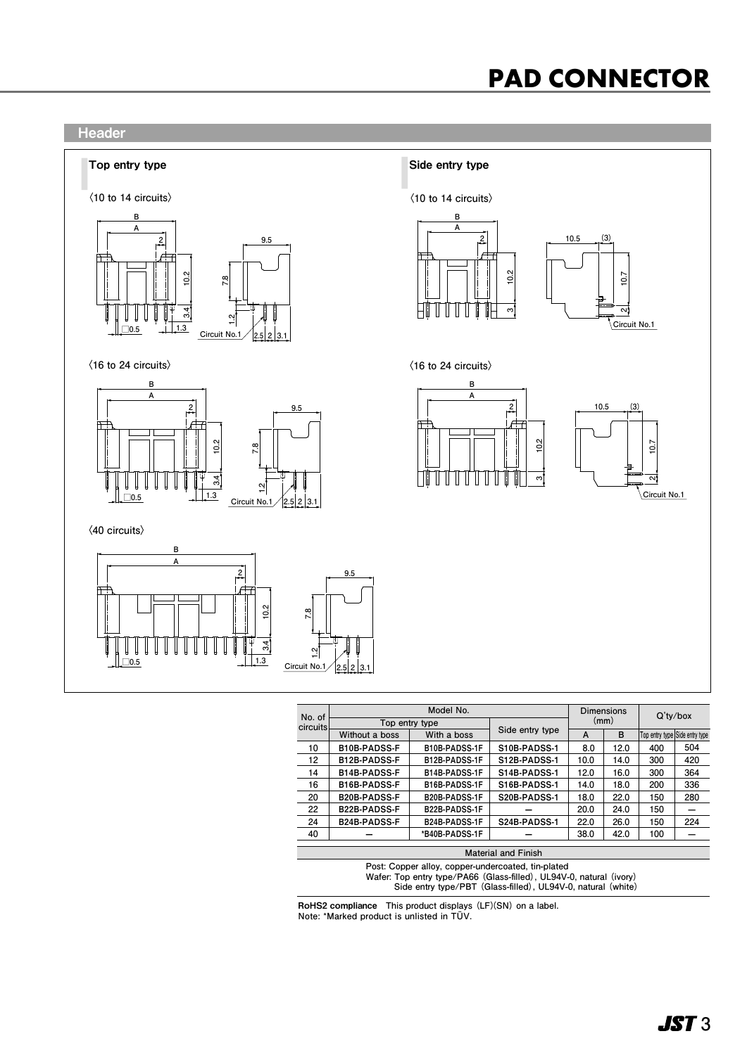## **PAD CONNECTOR PAD CONNECTOR**



| No. of<br>circuits                                 | Model No.                                                           |                      |                 | <b>Dimensions</b> |      | $Q'$ ty/box |                                |
|----------------------------------------------------|---------------------------------------------------------------------|----------------------|-----------------|-------------------|------|-------------|--------------------------------|
|                                                    | Top entry type                                                      |                      |                 | (mm)              |      |             |                                |
|                                                    | Without a boss                                                      | With a boss          | Side entry type | A                 | B    |             | Top entry type Side entry type |
| 10                                                 | <b>B10B-PADSS-F</b>                                                 | <b>B10B-PADSS-1F</b> | S10B-PADSS-1    | 8.0               | 12.0 | 400         | 504                            |
| 12                                                 | <b>B12B-PADSS-F</b>                                                 | B12B-PADSS-1F        | S12B-PADSS-1    | 10.0              | 14.0 | 300         | 420                            |
| 14                                                 | <b>B14B-PADSS-F</b>                                                 | B14B-PADSS-1F        | S14B-PADSS-1    | 12.0              | 16.0 | 300         | 364                            |
| 16                                                 | <b>B16B-PADSS-F</b>                                                 | B16B-PADSS-1F        | S16B-PADSS-1    | 14.0              | 18.0 | 200         | 336                            |
| 20                                                 | <b>B20B-PADSS-F</b>                                                 | B20B-PADSS-1F        | S20B-PADSS-1    | 18.0              | 22.0 | 150         | 280                            |
| 22                                                 | <b>B22B-PADSS-F</b>                                                 | B22B-PADSS-1F        |                 | 20.0              | 24.0 | 150         |                                |
| 24                                                 | <b>B24B-PADSS-F</b>                                                 | B24B-PADSS-1F        | S24B-PADSS-1    | 22.0              | 26.0 | 150         | 224                            |
| 40                                                 |                                                                     | *B40B-PADSS-1F       |                 | 38.0              | 42.0 | 100         |                                |
|                                                    |                                                                     |                      |                 |                   |      |             |                                |
| <b>Material and Finish</b>                         |                                                                     |                      |                 |                   |      |             |                                |
| Post: Copper alloy, copper-undercoated, tin-plated |                                                                     |                      |                 |                   |      |             |                                |
|                                                    | Wafer: Top entry type/PA66 (Glass-filled), UL94V-0, natural (ivory) |                      |                 |                   |      |             |                                |

 **Side entry type/PBT (Glass-filled), UL94V-0, natural (white)**

RoHS2 compliance **This product displays (LF)(SN) on a label. Note: \*Marked product is unlisted in TÜV.**